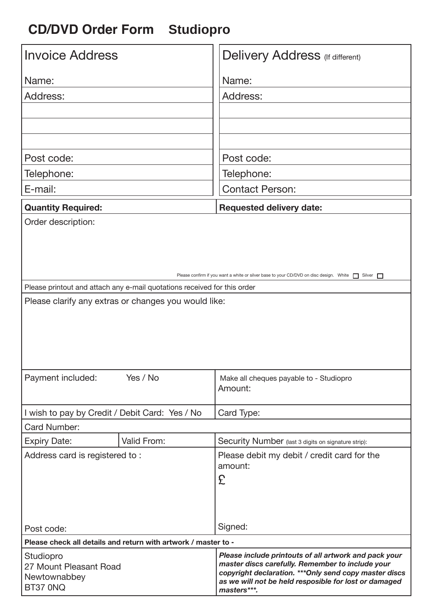## **CD/DVD Order Form Studiopro**

| <b>Invoice Address</b>                                                                                                           | <b>Delivery Address</b> (If different)                                                                                                                                                                                                      |
|----------------------------------------------------------------------------------------------------------------------------------|---------------------------------------------------------------------------------------------------------------------------------------------------------------------------------------------------------------------------------------------|
| Name:                                                                                                                            | Name:                                                                                                                                                                                                                                       |
| Address:                                                                                                                         | Address:                                                                                                                                                                                                                                    |
|                                                                                                                                  |                                                                                                                                                                                                                                             |
|                                                                                                                                  |                                                                                                                                                                                                                                             |
|                                                                                                                                  |                                                                                                                                                                                                                                             |
| Post code:                                                                                                                       | Post code:                                                                                                                                                                                                                                  |
| Telephone:                                                                                                                       | Telephone:                                                                                                                                                                                                                                  |
| E-mail:                                                                                                                          | <b>Contact Person:</b>                                                                                                                                                                                                                      |
| <b>Quantity Required:</b>                                                                                                        | <b>Requested delivery date:</b>                                                                                                                                                                                                             |
| Order description:                                                                                                               |                                                                                                                                                                                                                                             |
|                                                                                                                                  |                                                                                                                                                                                                                                             |
| Please confirm if you want a white or silver base to your CD/DVD on disc design. White<br>Silver $\Box$                          |                                                                                                                                                                                                                                             |
| Please printout and attach any e-mail quotations received for this order<br>Please clarify any extras or changes you would like: |                                                                                                                                                                                                                                             |
|                                                                                                                                  |                                                                                                                                                                                                                                             |
| Payment included:<br>Yes / No                                                                                                    | Make all cheques payable to - Studiopro<br>Amount:                                                                                                                                                                                          |
| I wish to pay by Credit / Debit Card: Yes / No                                                                                   | Card Type:                                                                                                                                                                                                                                  |
| Card Number:                                                                                                                     |                                                                                                                                                                                                                                             |
| Valid From:<br><b>Expiry Date:</b>                                                                                               | Security Number (last 3 digits on signature strip):                                                                                                                                                                                         |
| Address card is registered to:                                                                                                   | Please debit my debit / credit card for the<br>amount:<br>£                                                                                                                                                                                 |
| Post code:                                                                                                                       | Signed:                                                                                                                                                                                                                                     |
| Please check all details and return with artwork / master to -                                                                   |                                                                                                                                                                                                                                             |
| Studiopro<br>27 Mount Pleasant Road<br>Newtownabbey<br>BT37 0NQ                                                                  | Please include printouts of all artwork and pack your<br>master discs carefully. Remember to include your<br>copyright declaration. *** Only send copy master discs<br>as we will not be held resposible for lost or damaged<br>masters***. |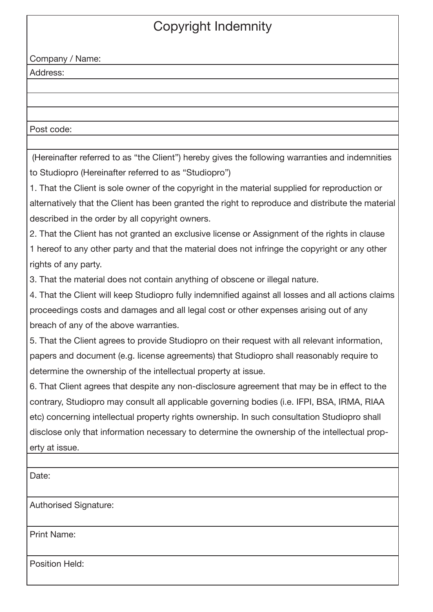## Copyright Indemnity

Company / Name:

Address:

Post code:

 (Hereinafter referred to as "the Client") hereby gives the following warranties and indemnities to Studiopro (Hereinafter referred to as "Studiopro")

1. That the Client is sole owner of the copyright in the material supplied for reproduction or alternatively that the Client has been granted the right to reproduce and distribute the material described in the order by all copyright owners.

2. That the Client has not granted an exclusive license or Assignment of the rights in clause 1 hereof to any other party and that the material does not infringe the copyright or any other rights of any party.

3. That the material does not contain anything of obscene or illegal nature.

4. That the Client will keep Studiopro fully indemnified against all losses and all actions claims proceedings costs and damages and all legal cost or other expenses arising out of any breach of any of the above warranties.

5. That the Client agrees to provide Studiopro on their request with all relevant information, papers and document (e.g. license agreements) that Studiopro shall reasonably require to determine the ownership of the intellectual property at issue.

6. That Client agrees that despite any non-disclosure agreement that may be in effect to the contrary, Studiopro may consult all applicable governing bodies (i.e. IFPI, BSA, IRMA, RIAA etc) concerning intellectual property rights ownership. In such consultation Studiopro shall disclose only that information necessary to determine the ownership of the intellectual property at issue.

Date: Authorised Signature: Print Name: Position Held: